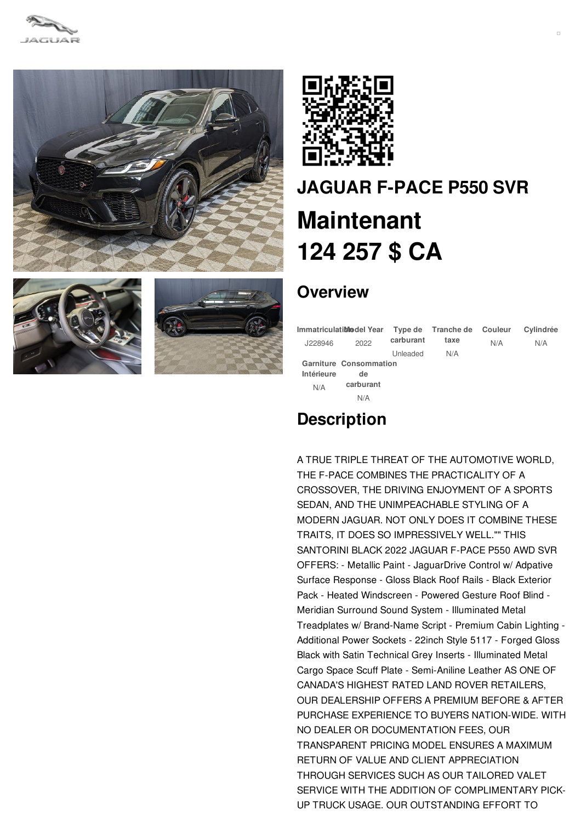









# **[JAGUAR](/fr/new/pdf/) F-PACE P550 SVR Maintenant [124](/fr/new/pdf/) 257 \$ CA**

## **Overview**

| Immatriculati <b>blo</b> del Year |                               |           | Type de Tranche de Couleur |     | Cylindrée |
|-----------------------------------|-------------------------------|-----------|----------------------------|-----|-----------|
| J228946                           | 2022                          | carburant | taxe                       | N/A | N/A       |
|                                   |                               | Unleaded  | N/A                        |     |           |
|                                   | <b>Garniture Consommation</b> |           |                            |     |           |
| Intérieure                        | de                            |           |                            |     |           |
| N/A                               | carburant                     |           |                            |     |           |
|                                   | N/A                           |           |                            |     |           |

## **Description**

A TRUE TRIPLE THREAT OF THE AUTOMOTIVE WORLD, THE F-PACE COMBINES THE PRACTICALITY OF A CROSSOVER, THE DRIVING ENJOYMENT OF A SPORTS SEDAN, AND THE UNIMPEACHABLE STYLING OF A MODERN JAGUAR. NOT ONLY DOES IT COMBINE THESE TRAITS, IT DOES SO IMPRESSIVELY WELL."" THIS SANTORINI BLACK 2022 JAGUAR F-PACE P550 AWD SVR OFFERS: - Metallic Paint - JaguarDrive Control w/ Adpative Surface Response - Gloss Black Roof Rails - Black Exterior Pack - Heated Windscreen - Powered Gesture Roof Blind - Meridian Surround Sound System - Illuminated Metal Treadplates w/ Brand-Name Script - Premium Cabin Lighting - Additional Power Sockets - 22inch Style 5117 - Forged Gloss Black with Satin Technical Grey Inserts - Illuminated Metal Cargo Space Scuff Plate - Semi-Aniline Leather AS ONE OF CANADA'S HIGHEST RATED LAND ROVER RETAILERS, OUR DEALERSHIP OFFERS A PREMIUM BEFORE & AFTER PURCHASE EXPERIENCE TO BUYERS NATION-WIDE. WITH NO DEALER OR DOCUMENTATION FEES, OUR TRANSPARENT PRICING MODEL ENSURES A MAXIMUM RETURN OF VALUE AND CLIENT APPRECIATION THROUGH SERVICES SUCH AS OUR TAILORED VALET SERVICE WITH THE ADDITION OF COMPLIMENTARY PICK-UP TRUCK USAGE. OUR OUTSTANDING EFFORT TO